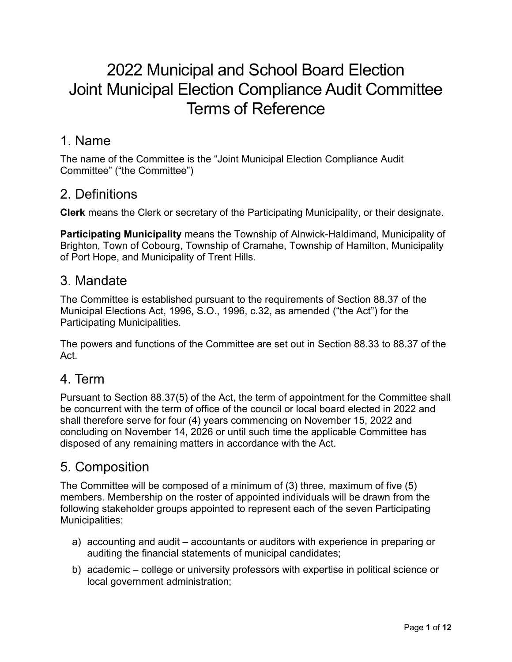# 2022 Municipal and School Board Election Joint Municipal Election Compliance Audit Committee Terms of Reference

### 1. Name

The name of the Committee is the "Joint Municipal Election Compliance Audit Committee" ("the Committee")

## 2. Definitions

**Clerk** means the Clerk or secretary of the Participating Municipality, or their designate.

**Participating Municipality** means the Township of Alnwick-Haldimand, Municipality of Brighton, Town of Cobourg, Township of Cramahe, Township of Hamilton, Municipality of Port Hope, and Municipality of Trent Hills.

# 3. Mandate

The Committee is established pursuant to the requirements of Section 88.37 of the Municipal Elections Act, 1996, S.O., 1996, c.32, as amended ("the Act") for the Participating Municipalities.

The powers and functions of the Committee are set out in Section 88.33 to 88.37 of the Act.

# 4. Term

Pursuant to Section 88.37(5) of the Act, the term of appointment for the Committee shall be concurrent with the term of office of the council or local board elected in 2022 and shall therefore serve for four (4) years commencing on November 15, 2022 and concluding on November 14, 2026 or until such time the applicable Committee has disposed of any remaining matters in accordance with the Act.

# 5. Composition

The Committee will be composed of a minimum of (3) three, maximum of five (5) members. Membership on the roster of appointed individuals will be drawn from the following stakeholder groups appointed to represent each of the seven Participating Municipalities:

- a) accounting and audit accountants or auditors with experience in preparing or auditing the financial statements of municipal candidates;
- b) academic college or university professors with expertise in political science or local government administration;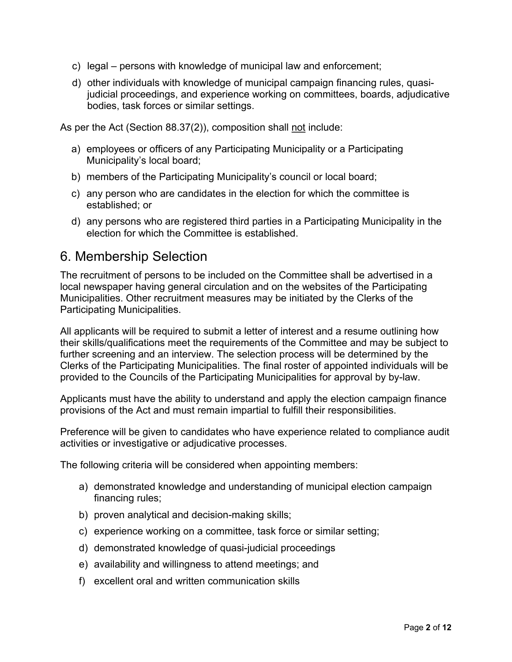- c) legal persons with knowledge of municipal law and enforcement;
- d) other individuals with knowledge of municipal campaign financing rules, quasijudicial proceedings, and experience working on committees, boards, adjudicative bodies, task forces or similar settings.

As per the Act (Section 88.37(2)), composition shall not include:

- a) employees or officers of any Participating Municipality or a Participating Municipality's local board;
- b) members of the Participating Municipality's council or local board;
- c) any person who are candidates in the election for which the committee is established; or
- d) any persons who are registered third parties in a Participating Municipality in the election for which the Committee is established.

### 6. Membership Selection

The recruitment of persons to be included on the Committee shall be advertised in a local newspaper having general circulation and on the websites of the Participating Municipalities. Other recruitment measures may be initiated by the Clerks of the Participating Municipalities.

All applicants will be required to submit a letter of interest and a resume outlining how their skills/qualifications meet the requirements of the Committee and may be subject to further screening and an interview. The selection process will be determined by the Clerks of the Participating Municipalities. The final roster of appointed individuals will be provided to the Councils of the Participating Municipalities for approval by by-law.

Applicants must have the ability to understand and apply the election campaign finance provisions of the Act and must remain impartial to fulfill their responsibilities.

Preference will be given to candidates who have experience related to compliance audit activities or investigative or adjudicative processes.

The following criteria will be considered when appointing members:

- a) demonstrated knowledge and understanding of municipal election campaign financing rules;
- b) proven analytical and decision-making skills;
- c) experience working on a committee, task force or similar setting;
- d) demonstrated knowledge of quasi-judicial proceedings
- e) availability and willingness to attend meetings; and
- f) excellent oral and written communication skills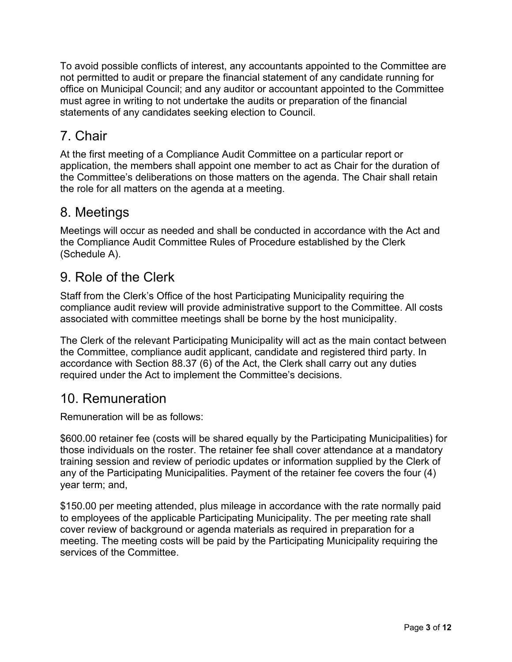To avoid possible conflicts of interest, any accountants appointed to the Committee are not permitted to audit or prepare the financial statement of any candidate running for office on Municipal Council; and any auditor or accountant appointed to the Committee must agree in writing to not undertake the audits or preparation of the financial statements of any candidates seeking election to Council.

# 7. Chair

At the first meeting of a Compliance Audit Committee on a particular report or application, the members shall appoint one member to act as Chair for the duration of the Committee's deliberations on those matters on the agenda. The Chair shall retain the role for all matters on the agenda at a meeting.

# 8. Meetings

Meetings will occur as needed and shall be conducted in accordance with the Act and the Compliance Audit Committee Rules of Procedure established by the Clerk (Schedule A).

# 9. Role of the Clerk

Staff from the Clerk's Office of the host Participating Municipality requiring the compliance audit review will provide administrative support to the Committee. All costs associated with committee meetings shall be borne by the host municipality.

The Clerk of the relevant Participating Municipality will act as the main contact between the Committee, compliance audit applicant, candidate and registered third party. In accordance with Section 88.37 (6) of the Act, the Clerk shall carry out any duties required under the Act to implement the Committee's decisions.

# 10. Remuneration

Remuneration will be as follows:

\$600.00 retainer fee (costs will be shared equally by the Participating Municipalities) for those individuals on the roster. The retainer fee shall cover attendance at a mandatory training session and review of periodic updates or information supplied by the Clerk of any of the Participating Municipalities. Payment of the retainer fee covers the four (4) year term; and,

\$150.00 per meeting attended, plus mileage in accordance with the rate normally paid to employees of the applicable Participating Municipality. The per meeting rate shall cover review of background or agenda materials as required in preparation for a meeting. The meeting costs will be paid by the Participating Municipality requiring the services of the Committee.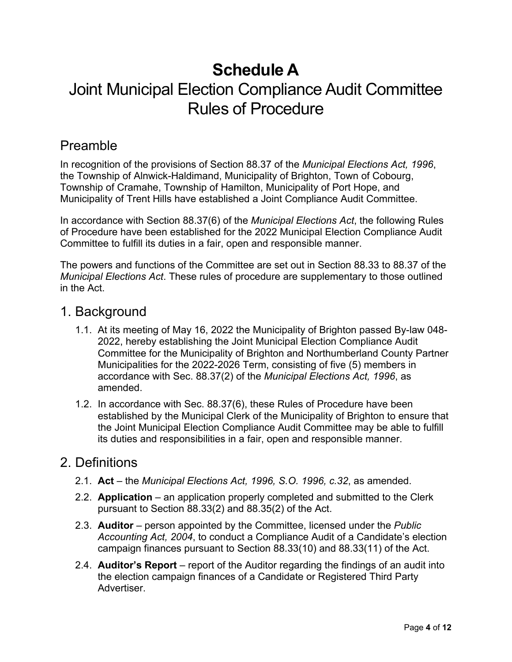# **Schedule A** Joint Municipal Election Compliance Audit Committee Rules of Procedure

# Preamble

In recognition of the provisions of Section 88.37 of the *Municipal Elections Act, 1996*, the Township of Alnwick-Haldimand, Municipality of Brighton, Town of Cobourg, Township of Cramahe, Township of Hamilton, Municipality of Port Hope, and Municipality of Trent Hills have established a Joint Compliance Audit Committee.

In accordance with Section 88.37(6) of the *Municipal Elections Act*, the following Rules of Procedure have been established for the 2022 Municipal Election Compliance Audit Committee to fulfill its duties in a fair, open and responsible manner.

The powers and functions of the Committee are set out in Section 88.33 to 88.37 of the *Municipal Elections Act*. These rules of procedure are supplementary to those outlined in the Act.

#### 1. Background

- 1.1. At its meeting of May 16, 2022 the Municipality of Brighton passed By-law 048- 2022, hereby establishing the Joint Municipal Election Compliance Audit Committee for the Municipality of Brighton and Northumberland County Partner Municipalities for the 2022-2026 Term, consisting of five (5) members in accordance with Sec. 88.37(2) of the *Municipal Elections Act, 1996*, as amended.
- 1.2. In accordance with Sec. 88.37(6), these Rules of Procedure have been established by the Municipal Clerk of the Municipality of Brighton to ensure that the Joint Municipal Election Compliance Audit Committee may be able to fulfill its duties and responsibilities in a fair, open and responsible manner.

### 2. Definitions

- 2.1. **Act**  the *Municipal Elections Act, 1996, S.O. 1996, c.32*, as amended.
- 2.2. **Application** an application properly completed and submitted to the Clerk pursuant to Section 88.33(2) and 88.35(2) of the Act.
- 2.3. **Auditor**  person appointed by the Committee, licensed under the *Public Accounting Act, 2004*, to conduct a Compliance Audit of a Candidate's election campaign finances pursuant to Section 88.33(10) and 88.33(11) of the Act.
- 2.4. **Auditor's Report** report of the Auditor regarding the findings of an audit into the election campaign finances of a Candidate or Registered Third Party Advertiser.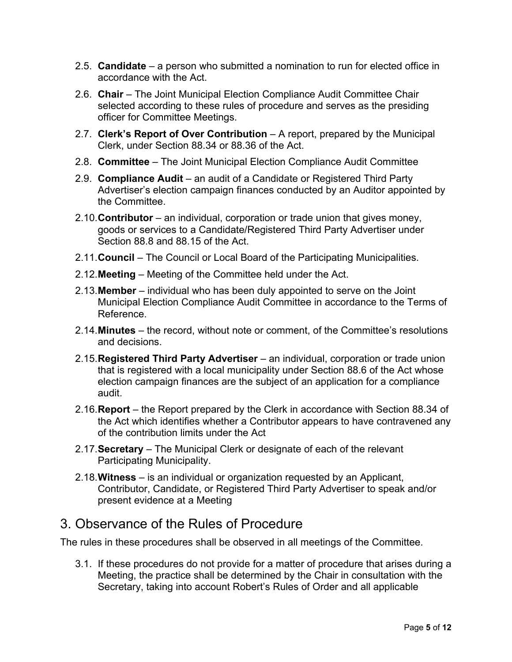- 2.5. **Candidate** a person who submitted a nomination to run for elected office in accordance with the Act.
- 2.6. **Chair** The Joint Municipal Election Compliance Audit Committee Chair selected according to these rules of procedure and serves as the presiding officer for Committee Meetings.
- 2.7. **Clerk's Report of Over Contribution** A report, prepared by the Municipal Clerk, under Section 88.34 or 88.36 of the Act.
- 2.8. **Committee** The Joint Municipal Election Compliance Audit Committee
- 2.9. **Compliance Audit** an audit of a Candidate or Registered Third Party Advertiser's election campaign finances conducted by an Auditor appointed by the Committee.
- 2.10.**Contributor**  an individual, corporation or trade union that gives money, goods or services to a Candidate/Registered Third Party Advertiser under Section 88.8 and 88.15 of the Act.
- 2.11.**Council** The Council or Local Board of the Participating Municipalities.
- 2.12.**Meeting** Meeting of the Committee held under the Act.
- 2.13.**Member** individual who has been duly appointed to serve on the Joint Municipal Election Compliance Audit Committee in accordance to the Terms of Reference.
- 2.14.**Minutes** the record, without note or comment, of the Committee's resolutions and decisions.
- 2.15.**Registered Third Party Advertiser** an individual, corporation or trade union that is registered with a local municipality under Section 88.6 of the Act whose election campaign finances are the subject of an application for a compliance audit.
- 2.16.**Report**  the Report prepared by the Clerk in accordance with Section 88.34 of the Act which identifies whether a Contributor appears to have contravened any of the contribution limits under the Act
- 2.17.**Secretary**  The Municipal Clerk or designate of each of the relevant Participating Municipality.
- 2.18.**Witness** is an individual or organization requested by an Applicant, Contributor, Candidate, or Registered Third Party Advertiser to speak and/or present evidence at a Meeting

### 3. Observance of the Rules of Procedure

The rules in these procedures shall be observed in all meetings of the Committee.

3.1. If these procedures do not provide for a matter of procedure that arises during a Meeting, the practice shall be determined by the Chair in consultation with the Secretary, taking into account Robert's Rules of Order and all applicable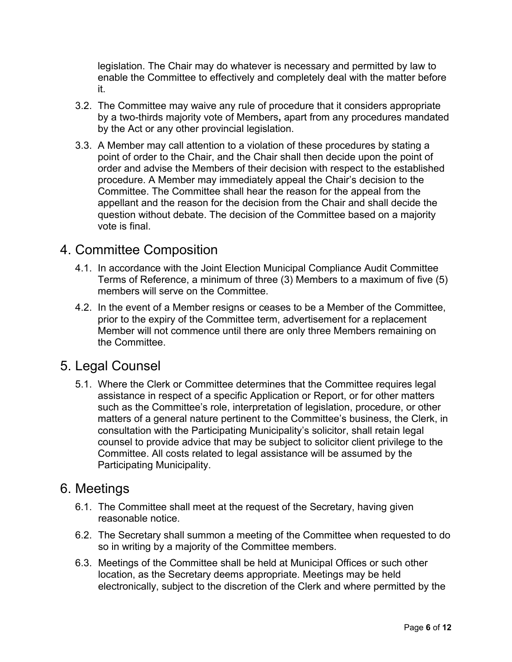legislation. The Chair may do whatever is necessary and permitted by law to enable the Committee to effectively and completely deal with the matter before it.

- 3.2. The Committee may waive any rule of procedure that it considers appropriate by a two-thirds majority vote of Members**,** apart from any procedures mandated by the Act or any other provincial legislation.
- 3.3. A Member may call attention to a violation of these procedures by stating a point of order to the Chair, and the Chair shall then decide upon the point of order and advise the Members of their decision with respect to the established procedure. A Member may immediately appeal the Chair's decision to the Committee. The Committee shall hear the reason for the appeal from the appellant and the reason for the decision from the Chair and shall decide the question without debate. The decision of the Committee based on a majority vote is final.

#### 4. Committee Composition

- 4.1. In accordance with the Joint Election Municipal Compliance Audit Committee Terms of Reference, a minimum of three (3) Members to a maximum of five (5) members will serve on the Committee.
- 4.2. In the event of a Member resigns or ceases to be a Member of the Committee, prior to the expiry of the Committee term, advertisement for a replacement Member will not commence until there are only three Members remaining on the Committee.

### 5. Legal Counsel

5.1. Where the Clerk or Committee determines that the Committee requires legal assistance in respect of a specific Application or Report, or for other matters such as the Committee's role, interpretation of legislation, procedure, or other matters of a general nature pertinent to the Committee's business, the Clerk, in consultation with the Participating Municipality's solicitor, shall retain legal counsel to provide advice that may be subject to solicitor client privilege to the Committee. All costs related to legal assistance will be assumed by the Participating Municipality.

#### 6. Meetings

- 6.1. The Committee shall meet at the request of the Secretary, having given reasonable notice.
- 6.2. The Secretary shall summon a meeting of the Committee when requested to do so in writing by a majority of the Committee members.
- 6.3. Meetings of the Committee shall be held at Municipal Offices or such other location, as the Secretary deems appropriate. Meetings may be held electronically, subject to the discretion of the Clerk and where permitted by the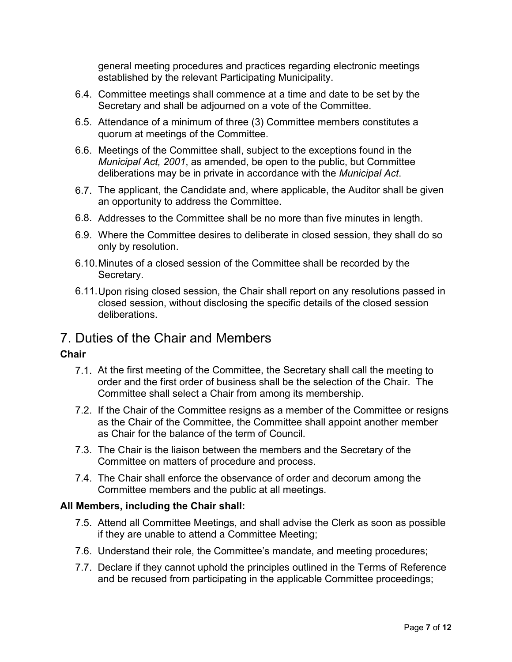general meeting procedures and practices regarding electronic meetings established by the relevant Participating Municipality.

- 6.4. Committee meetings shall commence at a time and date to be set by the Secretary and shall be adjourned on a vote of the Committee.
- 6.5. Attendance of a minimum of three (3) Committee members constitutes a quorum at meetings of the Committee.
- 6.6. Meetings of the Committee shall, subject to the exceptions found in the *Municipal Act, 2001*, as amended, be open to the public, but Committee deliberations may be in private in accordance with the *Municipal Act*.
- 6.7. The applicant, the Candidate and, where applicable, the Auditor shall be given an opportunity to address the Committee.
- 6.8. Addresses to the Committee shall be no more than five minutes in length.
- 6.9. Where the Committee desires to deliberate in closed session, they shall do so only by resolution.
- 6.10.Minutes of a closed session of the Committee shall be recorded by the Secretary.
- 6.11.Upon rising closed session, the Chair shall report on any resolutions passed in closed session, without disclosing the specific details of the closed session deliberations.

### 7. Duties of the Chair and Members

#### **Chair**

- 7.1. At the first meeting of the Committee, the Secretary shall call the meeting to order and the first order of business shall be the selection of the Chair. The Committee shall select a Chair from among its membership.
- 7.2. If the Chair of the Committee resigns as a member of the Committee or resigns as the Chair of the Committee, the Committee shall appoint another member as Chair for the balance of the term of Council.
- 7.3. The Chair is the liaison between the members and the Secretary of the Committee on matters of procedure and process.
- 7.4. The Chair shall enforce the observance of order and decorum among the Committee members and the public at all meetings.

#### **All Members, including the Chair shall:**

- 7.5. Attend all Committee Meetings, and shall advise the Clerk as soon as possible if they are unable to attend a Committee Meeting;
- 7.6. Understand their role, the Committee's mandate, and meeting procedures;
- 7.7. Declare if they cannot uphold the principles outlined in the Terms of Reference and be recused from participating in the applicable Committee proceedings;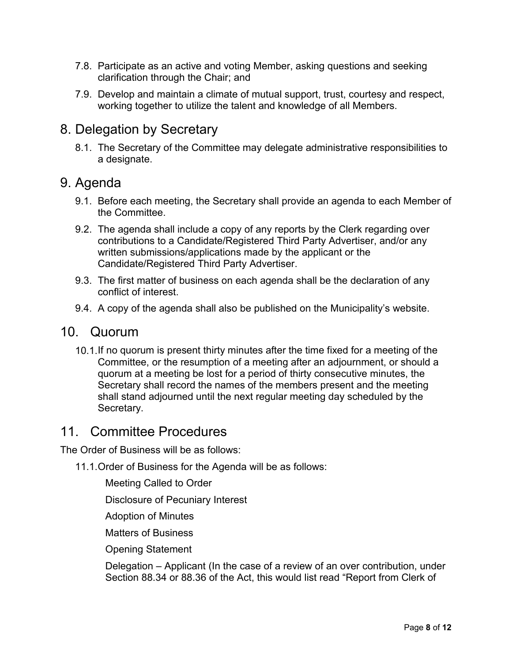- 7.8. Participate as an active and voting Member, asking questions and seeking clarification through the Chair; and
- 7.9. Develop and maintain a climate of mutual support, trust, courtesy and respect, working together to utilize the talent and knowledge of all Members.

### 8. Delegation by Secretary

8.1. The Secretary of the Committee may delegate administrative responsibilities to a designate.

#### 9. Agenda

- 9.1. Before each meeting, the Secretary shall provide an agenda to each Member of the Committee.
- 9.2. The agenda shall include a copy of any reports by the Clerk regarding over contributions to a Candidate/Registered Third Party Advertiser, and/or any written submissions/applications made by the applicant or the Candidate/Registered Third Party Advertiser.
- 9.3. The first matter of business on each agenda shall be the declaration of any conflict of interest.
- 9.4. A copy of the agenda shall also be published on the Municipality's website.

#### 10. Quorum

10.1.If no quorum is present thirty minutes after the time fixed for a meeting of the Committee, or the resumption of a meeting after an adjournment, or should a quorum at a meeting be lost for a period of thirty consecutive minutes, the Secretary shall record the names of the members present and the meeting shall stand adjourned until the next regular meeting day scheduled by the Secretary.

#### 11. Committee Procedures

The Order of Business will be as follows:

- 11.1.Order of Business for the Agenda will be as follows:
	- Meeting Called to Order

Disclosure of Pecuniary Interest

Adoption of Minutes

Matters of Business

Opening Statement

Delegation – Applicant (In the case of a review of an over contribution, under Section 88.34 or 88.36 of the Act, this would list read "Report from Clerk of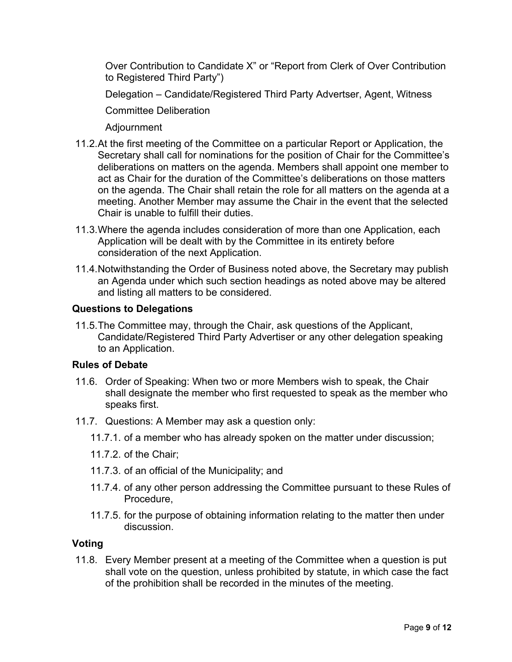Over Contribution to Candidate X" or "Report from Clerk of Over Contribution to Registered Third Party")

Delegation – Candidate/Registered Third Party Advertser, Agent, Witness

Committee Deliberation

Adjournment

- 11.2.At the first meeting of the Committee on a particular Report or Application, the Secretary shall call for nominations for the position of Chair for the Committee's deliberations on matters on the agenda. Members shall appoint one member to act as Chair for the duration of the Committee's deliberations on those matters on the agenda. The Chair shall retain the role for all matters on the agenda at a meeting. Another Member may assume the Chair in the event that the selected Chair is unable to fulfill their duties.
- 11.3.Where the agenda includes consideration of more than one Application, each Application will be dealt with by the Committee in its entirety before consideration of the next Application.
- 11.4.Notwithstanding the Order of Business noted above, the Secretary may publish an Agenda under which such section headings as noted above may be altered and listing all matters to be considered.

#### **Questions to Delegations**

11.5.The Committee may, through the Chair, ask questions of the Applicant, Candidate/Registered Third Party Advertiser or any other delegation speaking to an Application.

#### **Rules of Debate**

- 11.6. Order of Speaking: When two or more Members wish to speak, the Chair shall designate the member who first requested to speak as the member who speaks first.
- 11.7. Questions: A Member may ask a question only:
	- 11.7.1. of a member who has already spoken on the matter under discussion;
	- 11.7.2. of the Chair;
	- 11.7.3. of an official of the Municipality; and
	- 11.7.4. of any other person addressing the Committee pursuant to these Rules of Procedure,
	- 11.7.5. for the purpose of obtaining information relating to the matter then under discussion.

#### **Voting**

11.8. Every Member present at a meeting of the Committee when a question is put shall vote on the question, unless prohibited by statute, in which case the fact of the prohibition shall be recorded in the minutes of the meeting.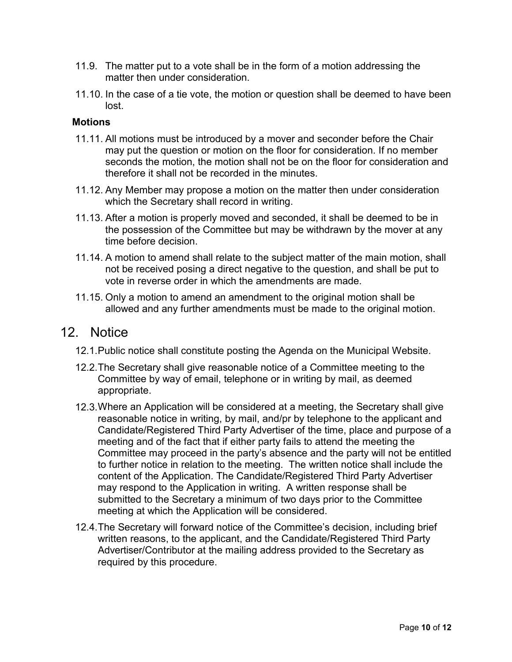- 11.9. The matter put to a vote shall be in the form of a motion addressing the matter then under consideration
- 11.10. In the case of a tie vote, the motion or question shall be deemed to have been lost.

#### **Motions**

- 11.11. All motions must be introduced by a mover and seconder before the Chair may put the question or motion on the floor for consideration. If no member seconds the motion, the motion shall not be on the floor for consideration and therefore it shall not be recorded in the minutes.
- 11.12. Any Member may propose a motion on the matter then under consideration which the Secretary shall record in writing.
- 11.13. After a motion is properly moved and seconded, it shall be deemed to be in the possession of the Committee but may be withdrawn by the mover at any time before decision.
- 11.14. A motion to amend shall relate to the subject matter of the main motion, shall not be received posing a direct negative to the question, and shall be put to vote in reverse order in which the amendments are made.
- 11.15. Only a motion to amend an amendment to the original motion shall be allowed and any further amendments must be made to the original motion.

#### 12. Notice

- 12.1.Public notice shall constitute posting the Agenda on the Municipal Website.
- 12.2.The Secretary shall give reasonable notice of a Committee meeting to the Committee by way of email, telephone or in writing by mail, as deemed appropriate.
- 12.3.Where an Application will be considered at a meeting, the Secretary shall give reasonable notice in writing, by mail, and/pr by telephone to the applicant and Candidate/Registered Third Party Advertiser of the time, place and purpose of a meeting and of the fact that if either party fails to attend the meeting the Committee may proceed in the party's absence and the party will not be entitled to further notice in relation to the meeting. The written notice shall include the content of the Application. The Candidate/Registered Third Party Advertiser may respond to the Application in writing. A written response shall be submitted to the Secretary a minimum of two days prior to the Committee meeting at which the Application will be considered.
- 12.4.The Secretary will forward notice of the Committee's decision, including brief written reasons, to the applicant, and the Candidate/Registered Third Party Advertiser/Contributor at the mailing address provided to the Secretary as required by this procedure.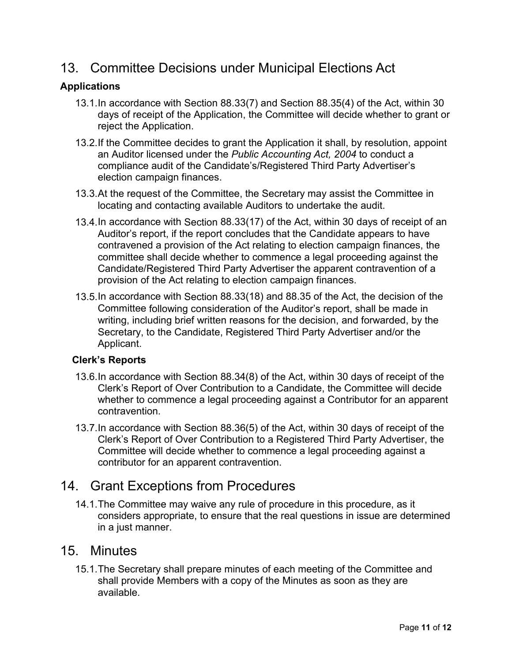# 13. Committee Decisions under Municipal Elections Act

#### **Applications**

- 13.1.In accordance with Section 88.33(7) and Section 88.35(4) of the Act, within 30 days of receipt of the Application, the Committee will decide whether to grant or reject the Application.
- 13.2.If the Committee decides to grant the Application it shall, by resolution, appoint an Auditor licensed under the *Public Accounting Act, 2004* to conduct a compliance audit of the Candidate's/Registered Third Party Advertiser's election campaign finances.
- 13.3.At the request of the Committee, the Secretary may assist the Committee in locating and contacting available Auditors to undertake the audit.
- 13.4.In accordance with Section 88.33(17) of the Act, within 30 days of receipt of an Auditor's report, if the report concludes that the Candidate appears to have contravened a provision of the Act relating to election campaign finances, the committee shall decide whether to commence a legal proceeding against the Candidate/Registered Third Party Advertiser the apparent contravention of a provision of the Act relating to election campaign finances.
- 13.5.In accordance with Section 88.33(18) and 88.35 of the Act, the decision of the Committee following consideration of the Auditor's report, shall be made in writing, including brief written reasons for the decision, and forwarded, by the Secretary, to the Candidate, Registered Third Party Advertiser and/or the Applicant.

#### **Clerk's Reports**

- 13.6.In accordance with Section 88.34(8) of the Act, within 30 days of receipt of the Clerk's Report of Over Contribution to a Candidate, the Committee will decide whether to commence a legal proceeding against a Contributor for an apparent contravention.
- 13.7.In accordance with Section 88.36(5) of the Act, within 30 days of receipt of the Clerk's Report of Over Contribution to a Registered Third Party Advertiser, the Committee will decide whether to commence a legal proceeding against a contributor for an apparent contravention.

### 14. Grant Exceptions from Procedures

14.1.The Committee may waive any rule of procedure in this procedure, as it considers appropriate, to ensure that the real questions in issue are determined in a just manner.

#### 15. Minutes

15.1.The Secretary shall prepare minutes of each meeting of the Committee and shall provide Members with a copy of the Minutes as soon as they are available.